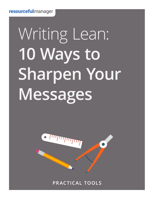# Writing Lean: **10 Ways to Sharpen Your Messages**



**PRACTICAL TOOLS**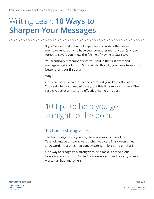## Writing Lean: **10 Ways to Sharpen Your Messages**

**/ / / / / / / / / / / / / / / / / / / / / / / / / / / / / / / / / / / / / / / / / / / / / / / / / / / / / / / / / / / / / / / / / / / / / / / / / / / / / / / /** 

If you've ever had the awful experience of writing the perfect memo or report only to have your computer malfunction (and you forgot to save!), you know the feeling of Having to Start Over.

You frantically remember what you said in the first draft and manage to get it all down. Surprisingly, though, your rewrite sounds better than your first draft.

Why?

Odds are because in the second go-round you likely left a lot out. You said what you needed to say, but this time more concisely. The result: A better written and effective memo or report.

## 10 tips to help you get straight to the point

#### 1. Choose strong verbs

The less wishy-washy you are, the more succinct you'll be. Take advantage of strong verbs when you can. This doesn't mean \$100 words, just ones that convey strength, force and emphasis.

One way to recognize a strong verb is to make it stand alone. Leave out any forms of "to be" or weaker verbs such as am, is, was, were, has, had and others.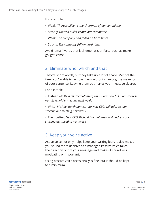#### For example:

- Weak: *Theresa Miller is the chairman of our committee.*
- Strong: *Theresa Miller chairs our committee.*
- Weak: *The company had fallen on hard times.*
- Strong: *The company fell on hard times.*

Avoid "small" verbs that lack emphasis or force, such as make, go, get, come.

#### 2. Eliminate who, which and that

They're short words, but they take up a lot of space. Most of the time, you're able to remove them without changing the meaning of your sentence. Leaving them out makes your message clearer.

For example:

- Instead of: *Michael Bartholomew, who is our new CEO, will address our stakeholder meeting next week.*
- Write: *Michael Bartholomew, our new CEO, will address our stakeholder meeting next week.*
- Even better: *New CEO Michael Bartholomew will address our stakeholder meeting next week.*

#### 3. Keep your voice active

Active voice not only helps keep your writing lean. It also makes you sound more decisive as a manager. Passive voice takes the direction out of your message and makes it sound less motivating or important.

Using passive voice occasionally is fine, but it should be kept to a minimum.

800-220-5000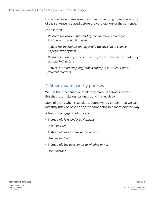For active voice, make sure the **subject** (the thing doing the action) of the sentence is placed before the **verb** (action) of the sentence.

For example:

• Passive: *The division was told by the operations manager to change its production system.*

Active: *The operations manager told the division to change its production system.*

• Passive: *A survey of our clients' most frequent requests was taken by our marketing staff.*

Active: *Our marketing staff took a survey of our clients' most frequent requests.*

#### 4. Steer clear of wordy phrases

We use them because we think they make us sound smarter. But they just make our writing sound like legalese.

Most of them, when read aloud, sound wordy enough that we can instantly think of ways to say the same thing in a more pointed way.

A few of the biggest culprits are:

• Instead of: *Take under advisement*

Use: *Consider*

• Instead of: *We've made an agreement*

Use: *We decided*

• Instead of: T*he question as to whether or not*

Use: *Whether*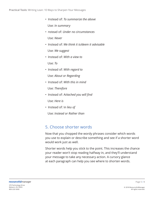- Instead of: *To summarize the above* Use: *In summary*
- nstead of: *Under no circumstances* Use: *Never*
- Instead of: *We think it is/deem it advisable* Use: *We suggest*
- Instead of: *With a view to*

Use: *To*

• Instead of: *With regard to*

Use: *About or Regarding*

- Instead of: *With this in mind* Use: *Therefore*
- Instead of: A*ttached you will find*

Use: *Here is*

• Instead of: I*n lieu of*

Use: *Instead or Rather than*

#### 5. Choose shorter words

Now that you chopped the wordy phrases consider which words you use to explain or describe something and see if a shorter word would work just as well.

Shorter words help you stick to the point. This increases the chance your reader won't stop reading halfway in, and they'll understand your message to take any necessary action. A cursory glance at each paragraph can help you see where to shorten words.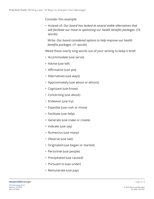Consider this example:

• Instead of: *Our board has looked at several viable alternatives that will facilitate our move to optimizing our health benefits packages.* (19 words)

Write: *Our board considered options to help improve our health benefits packages.* (11 words)

Weed these overly long words out of your writing to keep it brief:

- Accommodate (use serve)
- Advise (use tell)
- Affirmative (use yes)
- Alternatives (use ways)
- Approximately (use about or almost)
- Cognizant (use know)
- Concerning (use about)
- Endeavor (use try)
- Expedite (use rush or move)
- Facilitate (use help)
- Generate (use make or create)
- Indicate (use say)
- Numerous (use many)
- Observe (use see)
- Originated (use began or started)
- Personnel (use people)
- Precipitated (use caused)
- Pursuant to (use under)
- Remunerate (use pay)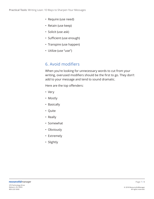- Require (use need)
- Retain (use keep)
- Solicit (use ask)
- Sufficient (use enough)
- Transpire (use happen)
- Utilize (use "use")

#### 6. Avoid modifiers

When you're looking for unnecessary words to cut from your writing, overused modifiers should be the first to go. They don't add to your message and tend to sound dramatic.

Here are the top offenders:

- Very
- Mostly
- Basically
- Quite
- Really
- Somewhat
- Obviously
- Extremely
- Slightly